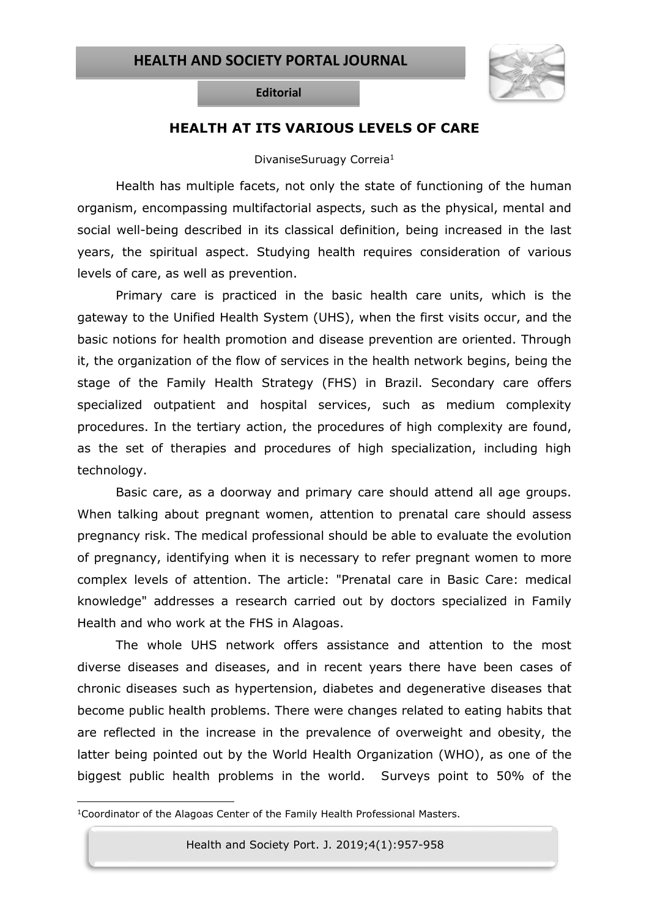

**Editorial**

## **HEALTH AT ITS VARIOUS LEVELS OF CARE**

## DivaniseSuruagy Correia<sup>1</sup>

Health has multiple facets, not only the state of functioning of the human organism, encompassing multifactorial aspects, such as the physical, mental and social well-being described in its classical definition, being increased in the last years, the spiritual aspect. Studying health requires consideration of various levels of care, as well as prevention.

Primary care is practiced in the basic health care units, which is the gateway to the Unified Health System (UHS), when the first visits occur, and the basic notions for health promotion and disease prevention are oriented. Through it, the organization of the flow of services in the health network begins, being the stage of the Family Health Strategy (FHS) in Brazil. Secondary care offers specialized outpatient and hospital services, such as medium complexity procedures. In the tertiary action, the procedures of high complexity are found, as the set of therapies and procedures of high specialization, including high technology.

Basic care, as a doorway and primary care should attend all age groups. When talking about pregnant women, attention to prenatal care should assess pregnancy risk. The medical professional should be able to evaluate the evolution of pregnancy, identifying when it is necessary to refer pregnant women to more complex levels of attention. The article: "Prenatal care in Basic Care: medical knowledge" addresses a research carried out by doctors specialized in Family Health and who work at the FHS in Alagoas.

The whole UHS network offers assistance and attention to the most diverse diseases and diseases, and in recent years there have been cases of chronic diseases such as hypertension, diabetes and degenerative diseases that become public health problems. There were changes related to eating habits that are reflected in the increase in the prevalence of overweight and obesity, the latter being pointed out by the World Health Organization (WHO), as one of the biggest public health problems in the world. Surveys point to 50% of the

l

Health and Society Port. J. 2019;4(1):957-958

<sup>1</sup>Coordinator of the Alagoas Center of the Family Health Professional Masters.